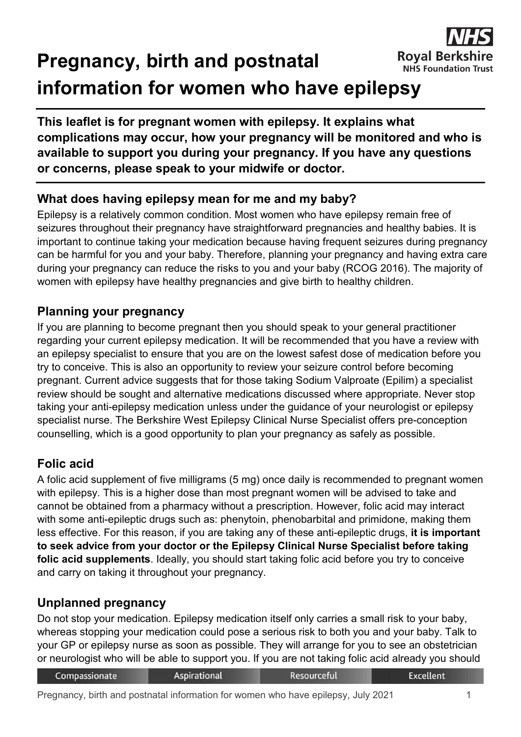#### **Royal Berksl Pregnancy, birth and postnatal NHS Foundation Trust information for women who have epilepsy**



## **What does having epilepsy mean for me and my baby?**

Epilepsy is a relatively common condition. Most women who have epilepsy remain free of seizures throughout their pregnancy have straightforward pregnancies and healthy babies. It is important to continue taking your medication because having frequent seizures during pregnancy can be harmful for you and your baby. Therefore, planning your pregnancy and having extra care during your pregnancy can reduce the risks to you and your baby (RCOG 2016). The majority of women with epilepsy have healthy pregnancies and give birth to healthy children.

## **Planning your pregnancy**

If you are planning to become pregnant then you should speak to your general practitioner regarding your current epilepsy medication. It will be recommended that you have a review with an epilepsy specialist to ensure that you are on the lowest safest dose of medication before you try to conceive. This is also an opportunity to review your seizure control before becoming pregnant. Current advice suggests that for those taking Sodium Valproate (Epilim) a specialist review should be sought and alternative medications discussed where appropriate. Never stop taking your anti-epilepsy medication unless under the guidance of your neurologist or epilepsy specialist nurse. The Berkshire West Epilepsy Clinical Nurse Specialist offers pre-conception counselling, which is a good opportunity to plan your pregnancy as safely as possible.

## **Folic acid**

A folic acid supplement of five milligrams (5 mg) once daily is recommended to pregnant women with epilepsy. This is a higher dose than most pregnant women will be advised to take and cannot be obtained from a pharmacy without a prescription. However, folic acid may interact with some anti-epileptic drugs such as: phenytoin, phenobarbital and primidone, making them less effective. For this reason, if you are taking any of these anti-epileptic drugs, **it is important to seek advice from your doctor or the Epilepsy Clinical Nurse Specialist before taking folic acid supplements**. Ideally, you should start taking folic acid before you try to conceive and carry on taking it throughout your pregnancy.

## **Unplanned pregnancy**

Do not stop your medication. Epilepsy medication itself only carries a small risk to your baby, whereas stopping your medication could pose a serious risk to both you and your baby. Talk to your GP or epilepsy nurse as soon as possible. They will arrange for you to see an obstetrician or neurologist who will be able to support you. If you are not taking folic acid already you should

| Compassionate | <b>Aspirational</b> | <b>Resourceful</b> | Excellent |
|---------------|---------------------|--------------------|-----------|
|               |                     |                    |           |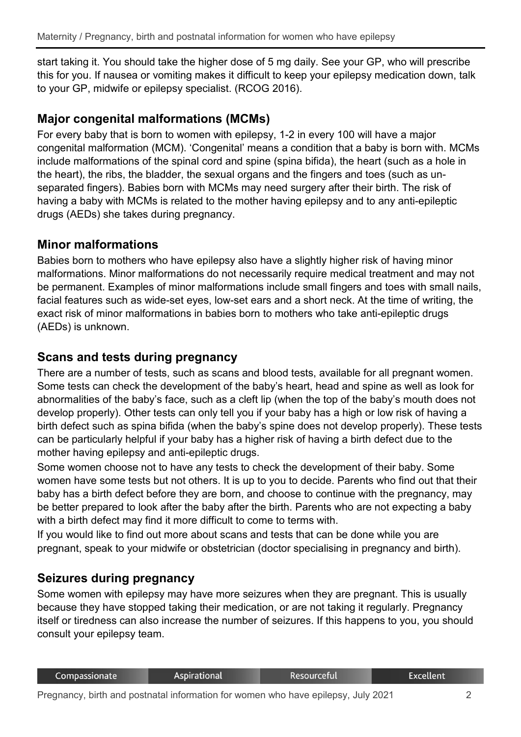start taking it. You should take the higher dose of 5 mg daily. See your GP, who will prescribe this for you. If nausea or vomiting makes it difficult to keep your epilepsy medication down, talk to your GP, midwife or epilepsy specialist. (RCOG 2016).

## **Major congenital malformations (MCMs)**

For every baby that is born to women with epilepsy, 1-2 in every 100 will have a major congenital malformation (MCM). 'Congenital' means a condition that a baby is born with. MCMs include malformations of the spinal cord and spine (spina bifida), the heart (such as a hole in the heart), the ribs, the bladder, the sexual organs and the fingers and toes (such as unseparated fingers). Babies born with MCMs may need surgery after their birth. The risk of having a baby with MCMs is related to the mother having epilepsy and to any anti-epileptic drugs (AEDs) she takes during pregnancy.

#### **Minor malformations**

Babies born to mothers who have epilepsy also have a slightly higher risk of having minor malformations. Minor malformations do not necessarily require medical treatment and may not be permanent. Examples of minor malformations include small fingers and toes with small nails, facial features such as wide-set eyes, low-set ears and a short neck. At the time of writing, the exact risk of minor malformations in babies born to mothers who take anti-epileptic drugs (AEDs) is unknown.

### **Scans and tests during pregnancy**

There are a number of tests, such as scans and blood tests, available for all pregnant women. Some tests can check the development of the baby's heart, head and spine as well as look for abnormalities of the baby's face, such as a cleft lip (when the top of the baby's mouth does not develop properly). Other tests can only tell you if your baby has a high or low risk of having a birth defect such as spina bifida (when the baby's spine does not develop properly). These tests can be particularly helpful if your baby has a higher risk of having a birth defect due to the mother having epilepsy and anti-epileptic drugs.

Some women choose not to have any tests to check the development of their baby. Some women have some tests but not others. It is up to you to decide. Parents who find out that their baby has a birth defect before they are born, and choose to continue with the pregnancy, may be better prepared to look after the baby after the birth. Parents who are not expecting a baby with a birth defect may find it more difficult to come to terms with.

If you would like to find out more about scans and tests that can be done while you are pregnant, speak to your midwife or obstetrician (doctor specialising in pregnancy and birth).

#### **Seizures during pregnancy**

Some women with epilepsy may have more seizures when they are pregnant. This is usually because they have stopped taking their medication, or are not taking it regularly. Pregnancy itself or tiredness can also increase the number of seizures. If this happens to you, you should consult your epilepsy team.

| Compassionate | Aspirational | Resourceful | <b>Excellent</b> |
|---------------|--------------|-------------|------------------|
|               |              |             |                  |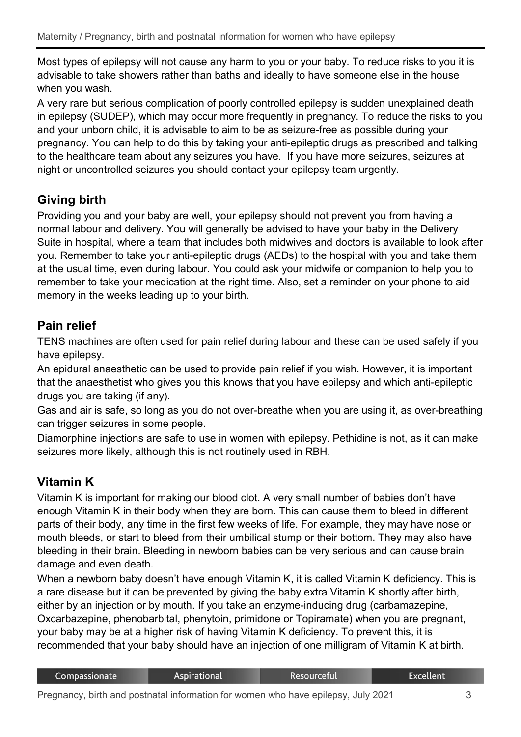Most types of epilepsy will not cause any harm to you or your baby. To reduce risks to you it is advisable to take showers rather than baths and ideally to have someone else in the house when you wash.

A very rare but serious complication of poorly controlled epilepsy is sudden unexplained death in epilepsy (SUDEP), which may occur more frequently in pregnancy. To reduce the risks to you and your unborn child, it is advisable to aim to be as seizure-free as possible during your pregnancy. You can help to do this by taking your anti-epileptic drugs as prescribed and talking to the healthcare team about any seizures you have. If you have more seizures, seizures at night or uncontrolled seizures you should contact your epilepsy team urgently.

# **Giving birth**

Providing you and your baby are well, your epilepsy should not prevent you from having a normal labour and delivery. You will generally be advised to have your baby in the Delivery Suite in hospital, where a team that includes both midwives and doctors is available to look after you. Remember to take your anti-epileptic drugs (AEDs) to the hospital with you and take them at the usual time, even during labour. You could ask your midwife or companion to help you to remember to take your medication at the right time. Also, set a reminder on your phone to aid memory in the weeks leading up to your birth.

## **Pain relief**

TENS machines are often used for pain relief during labour and these can be used safely if you have epilepsy.

An epidural anaesthetic can be used to provide pain relief if you wish. However, it is important that the anaesthetist who gives you this knows that you have epilepsy and which anti-epileptic drugs you are taking (if any).

Gas and air is safe, so long as you do not over-breathe when you are using it, as over-breathing can trigger seizures in some people.

Diamorphine injections are safe to use in women with epilepsy. Pethidine is not, as it can make seizures more likely, although this is not routinely used in RBH.

# **Vitamin K**

Vitamin K is important for making our blood clot. A very small number of babies don't have enough Vitamin K in their body when they are born. This can cause them to bleed in different parts of their body, any time in the first few weeks of life. For example, they may have nose or mouth bleeds, or start to bleed from their umbilical stump or their bottom. They may also have bleeding in their brain. Bleeding in newborn babies can be very serious and can cause brain damage and even death.

When a newborn baby doesn't have enough Vitamin K, it is called Vitamin K deficiency. This is a rare disease but it can be prevented by giving the baby extra Vitamin K shortly after birth, either by an injection or by mouth. If you take an enzyme-inducing drug (carbamazepine, Oxcarbazepine, phenobarbital, phenytoin, primidone or Topiramate) when you are pregnant, your baby may be at a higher risk of having Vitamin K deficiency. To prevent this, it is recommended that your baby should have an injection of one milligram of Vitamin K at birth.

| Compassionate | <b>Aspirational</b> | <b>Resourceful</b> | Excellent |
|---------------|---------------------|--------------------|-----------|
|               |                     |                    |           |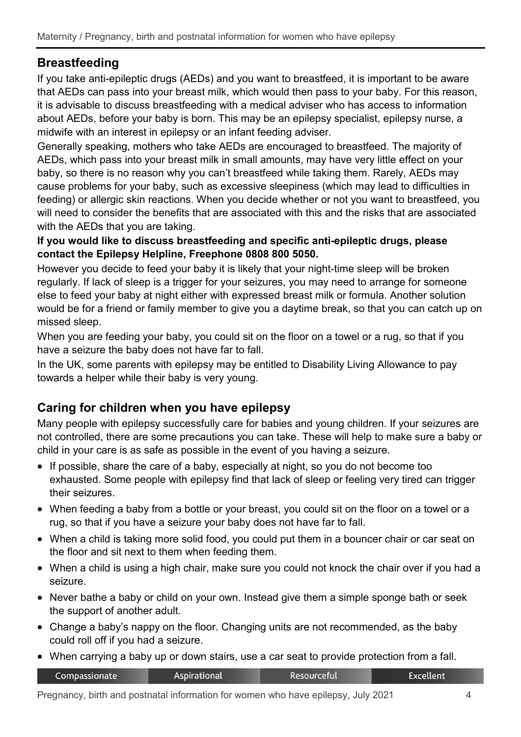## **Breastfeeding**

If you take anti-epileptic drugs (AEDs) and you want to breastfeed, it is important to be aware that AEDs can pass into your breast milk, which would then pass to your baby. For this reason, it is advisable to discuss breastfeeding with a medical adviser who has access to information about AEDs, before your baby is born. This may be an epilepsy specialist, epilepsy nurse, a midwife with an interest in epilepsy or an infant feeding adviser.

Generally speaking, mothers who take AEDs are encouraged to breastfeed. The majority of AEDs, which pass into your breast milk in small amounts, may have very little effect on your baby, so there is no reason why you can't breastfeed while taking them. Rarely, AEDs may cause problems for your baby, such as excessive sleepiness (which may lead to difficulties in feeding) or allergic skin reactions. When you decide whether or not you want to breastfeed, you will need to consider the benefits that are associated with this and the risks that are associated with the AEDs that you are taking.

#### **If you would like to discuss breastfeeding and specific anti-epileptic drugs, please contact the Epilepsy Helpline, Freephone 0808 800 5050.**

However you decide to feed your baby it is likely that your night-time sleep will be broken regularly. If lack of sleep is a trigger for your seizures, you may need to arrange for someone else to feed your baby at night either with expressed breast milk or formula. Another solution would be for a friend or family member to give you a daytime break, so that you can catch up on missed sleep.

When you are feeding your baby, you could sit on the floor on a towel or a rug, so that if you have a seizure the baby does not have far to fall.

In the UK, some parents with epilepsy may be entitled to Disability Living Allowance to pay towards a helper while their baby is very young.

## **Caring for children when you have epilepsy**

Many people with epilepsy successfully care for babies and young children. If your seizures are not controlled, there are some precautions you can take. These will help to make sure a baby or child in your care is as safe as possible in the event of you having a seizure.

- If possible, share the care of a baby, especially at night, so you do not become too exhausted. Some people with epilepsy find that lack of sleep or feeling very tired can trigger their seizures.
- When feeding a baby from a bottle or your breast, you could sit on the floor on a towel or a rug, so that if you have a seizure your baby does not have far to fall.
- When a child is taking more solid food, you could put them in a bouncer chair or car seat on the floor and sit next to them when feeding them.
- When a child is using a high chair, make sure you could not knock the chair over if you had a seizure.
- Never bathe a baby or child on your own. Instead give them a simple sponge bath or seek the support of another adult.
- Change a baby's nappy on the floor. Changing units are not recommended, as the baby could roll off if you had a seizure.
- When carrying a baby up or down stairs, use a car seat to provide protection from a fall.

| Compassionate | Aspirational | <b>Resourceful</b> | Excellent <sup>1</sup> |
|---------------|--------------|--------------------|------------------------|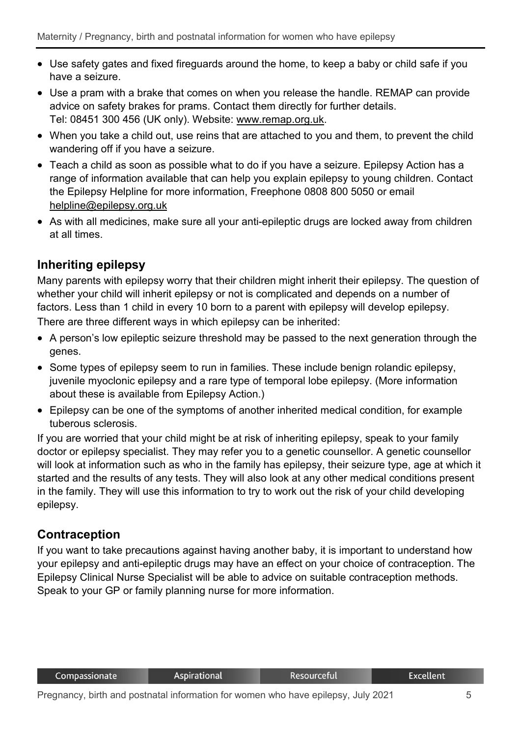- Use safety gates and fixed fireguards around the home, to keep a baby or child safe if you have a seizure.
- Use a pram with a brake that comes on when you release the handle. REMAP can provide advice on safety brakes for prams. Contact them directly for further details. Tel: 08451 300 456 (UK only). Website: [www.remap.org.uk.](http://www.remap.org.uk/)
- When you take a child out, use reins that are attached to you and them, to prevent the child wandering off if you have a seizure.
- Teach a child as soon as possible what to do if you have a seizure. Epilepsy Action has a range of information available that can help you explain epilepsy to young children. Contact the Epilepsy Helpline for more information, Freephone 0808 800 5050 or email [helpline@epilepsy.org.uk](mailto:helpline@epilepsy.org.uk)
- As with all medicines, make sure all your anti-epileptic drugs are locked away from children at all times.

## **Inheriting epilepsy**

Many parents with epilepsy worry that their children might inherit their epilepsy. The question of whether your child will inherit epilepsy or not is complicated and depends on a number of factors. Less than 1 child in every 10 born to a parent with epilepsy will develop epilepsy. There are three different ways in which epilepsy can be inherited:

- A person's low epileptic seizure threshold may be passed to the next generation through the genes.
- Some types of epilepsy seem to run in families. These include benign rolandic epilepsy, juvenile myoclonic epilepsy and a rare type of temporal lobe epilepsy. (More information about these is available from Epilepsy Action.)
- Epilepsy can be one of the symptoms of another inherited medical condition, for example tuberous sclerosis.

If you are worried that your child might be at risk of inheriting epilepsy, speak to your family doctor or epilepsy specialist. They may refer you to a genetic counsellor. A genetic counsellor will look at information such as who in the family has epilepsy, their seizure type, age at which it started and the results of any tests. They will also look at any other medical conditions present in the family. They will use this information to try to work out the risk of your child developing epilepsy.

## **Contraception**

If you want to take precautions against having another baby, it is important to understand how your epilepsy and anti-epileptic drugs may have an effect on your choice of contraception. The Epilepsy Clinical Nurse Specialist will be able to advice on suitable contraception methods. Speak to your GP or family planning nurse for more information.